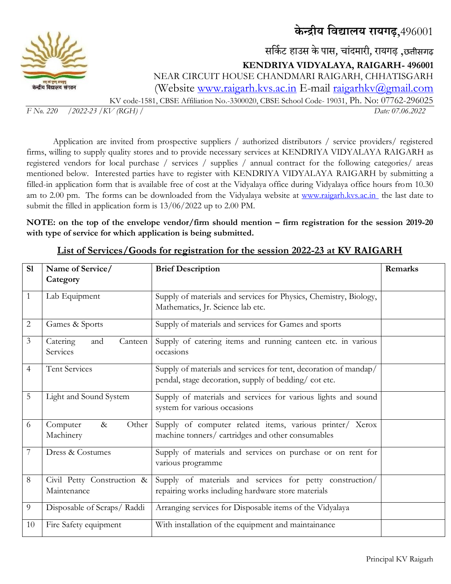**के न्द्रीय विद्यालय रायगढ़**,496001



सर्कि ट हाउस के पास*,* चाांदमारी*,* रायगढ़ ,छत्तीसगढ़ **KENDRIYA VIDYALAYA, RAIGARH- 496001**  NEAR CIRCUIT HOUSE CHANDMARI RAIGARH, CHHATISGARH (Website [www.raigarh.kvs.ac.in](http://www.raigarh.kvs.ac.in/) E-mail [raigarhkv@gmail.com](mailto:raigarhkv@gmail.com) KV code-1581, CBSE Affiliation No.-3300020, CBSE School Code- 19031, Ph. No: 07762-296025

*F No. 220 /2022-23 /KV (RGH) / Date: 07.06.2022*

Application are invited from prospective suppliers / authorized distributors / service providers/ registered firms, willing to supply quality stores and to provide necessary services at KENDRIYA VIDYALAYA RAIGARH as registered vendors for local purchase / services / supplies / annual contract for the following categories/ areas mentioned below. Interested parties have to register with KENDRIYA VIDYALAYA RAIGARH by submitting a filled-in application form that is available free of cost at the Vidyalaya office during Vidyalaya office hours from 10.30 am to 2.00 pm. The forms can be downloaded from the Vidyalaya website at [www.raigarh.kvs.ac.in](http://www.raigarh.kvs.ac.in/) the last date to submit the filled in application form is 13/06/2022 up to 2.00 PM.

**NOTE: on the top of the envelope vendor/firm should mention – firm registration for the session 2019-20 with type of service for which application is being submitted.** 

| S1             | Name of Service/                          | <b>Brief Description</b>                                                                                                  | Remarks |
|----------------|-------------------------------------------|---------------------------------------------------------------------------------------------------------------------------|---------|
|                | Category                                  |                                                                                                                           |         |
| 1              | Lab Equipment                             | Supply of materials and services for Physics, Chemistry, Biology,<br>Mathematics, Jr. Science lab etc.                    |         |
| 2              | Games & Sports                            | Supply of materials and services for Games and sports                                                                     |         |
| 3              | Catering<br>Canteen<br>and<br>Services    | Supply of catering items and running canteen etc. in various<br>occasions                                                 |         |
| $\overline{4}$ | <b>Tent Services</b>                      | Supply of materials and services for tent, decoration of mandap/<br>pendal, stage decoration, supply of bedding/ cot etc. |         |
| 5              | Light and Sound System                    | Supply of materials and services for various lights and sound<br>system for various occasions                             |         |
| 6              | Computer<br>Other<br>$\&$<br>Machinery    | Supply of computer related items, various printer/ Xerox<br>machine tonners/ cartridges and other consumables             |         |
| 7              | Dress & Costumes                          | Supply of materials and services on purchase or on rent for<br>various programme                                          |         |
| 8              | Civil Petty Construction &<br>Maintenance | Supply of materials and services for petty construction/<br>repairing works including hardware store materials            |         |
| 9              | Disposable of Scraps/Raddi                | Arranging services for Disposable items of the Vidyalaya                                                                  |         |
| 10             | Fire Safety equipment                     | With installation of the equipment and maintainance                                                                       |         |

## **List of Services/Goods for registration for the session 2022-23 at KV RAIGARH**